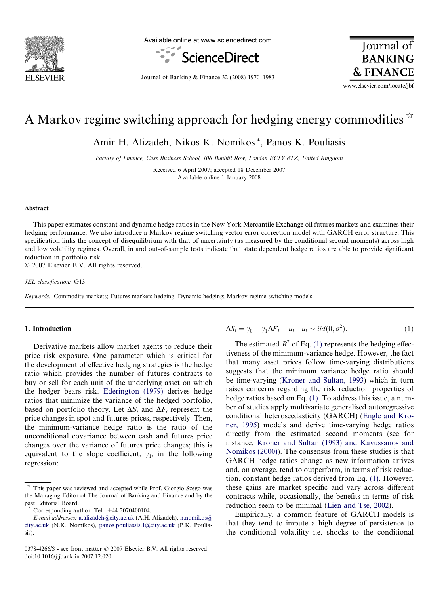<span id="page-0-0"></span>

Available online at www.sciencedirect.com



**Journal** of **BANKING & FINANCE** 

Journal of Banking & Finance 32 (2008) 1970–1983

www.elsevier.com/locate/jbf

## A Markov regime switching approach for hedging energy commodities  $\dot{\alpha}$

Amir H. Alizadeh, Nikos K. Nomikos \*, Panos K. Pouliasis

Faculty of Finance, Cass Business School, 106 Bunhill Row, London EC1Y 8TZ, United Kingdom

Received 6 April 2007; accepted 18 December 2007 Available online 1 January 2008

#### Abstract

This paper estimates constant and dynamic hedge ratios in the New York Mercantile Exchange oil futures markets and examines their hedging performance. We also introduce a Markov regime switching vector error correction model with GARCH error structure. This specification links the concept of disequilibrium with that of uncertainty (as measured by the conditional second moments) across high and low volatility regimes. Overall, in and out-of-sample tests indicate that state dependent hedge ratios are able to provide significant reduction in portfolio risk.

 $© 2007 Elsevier B.V. All rights reserved.$ 

JEL classification: G13

Keywords: Commodity markets; Futures markets hedging; Dynamic hedging; Markov regime switching models

### 1. Introduction

Derivative markets allow market agents to reduce their price risk exposure. One parameter which is critical for the development of effective hedging strategies is the hedge ratio which provides the number of futures contracts to buy or sell for each unit of the underlying asset on which the hedger bears risk. [Ederington \(1979\)](#page--1-0) derives hedge ratios that minimize the variance of the hedged portfolio, based on portfolio theory. Let  $\Delta S_t$  and  $\Delta F_t$  represent the price changes in spot and futures prices, respectively. Then, the minimum-variance hedge ratio is the ratio of the unconditional covariance between cash and futures price changes over the variance of futures price changes; this is equivalent to the slope coefficient,  $\gamma_1$ , in the following regression:

$$
\Delta S_t = \gamma_0 + \gamma_1 \Delta F_t + u_t \quad u_t \sim iid(0, \sigma^2). \tag{1}
$$

The estimated  $R^2$  of Eq. (1) represents the hedging effectiveness of the minimum-variance hedge. However, the fact that many asset prices follow time-varying distributions suggests that the minimum variance hedge ratio should be time-varying ([Kroner and Sultan, 1993\)](#page--1-0) which in turn raises concerns regarding the risk reduction properties of hedge ratios based on Eq. (1). To address this issue, a number of studies apply multivariate generalised autoregressive conditional heteroscedasticity (GARCH) ([Engle and Kro](#page--1-0)[ner, 1995](#page--1-0)) models and derive time-varying hedge ratios directly from the estimated second moments (see for instance, [Kroner and Sultan \(1993\) and Kavussanos and](#page--1-0) [Nomikos \(2000\)\)](#page--1-0). The consensus from these studies is that GARCH hedge ratios change as new information arrives and, on average, tend to outperform, in terms of risk reduction, constant hedge ratios derived from Eq. (1). However, these gains are market specific and vary across different contracts while, occasionally, the benefits in terms of risk reduction seem to be minimal ([Lien and Tse, 2002\)](#page--1-0).

Empirically, a common feature of GARCH models is that they tend to impute a high degree of persistence to the conditional volatility i.e. shocks to the conditional

This paper was reviewed and accepted while Prof. Giorgio Szego was the Managing Editor of The Journal of Banking and Finance and by the past Editorial Board.

Corresponding author. Tel.: +44 2070400104.

E-mail addresses: [a.alizadeh@city.ac.uk](mailto:a.alizadeh@city.ac.uk) (A.H. Alizadeh), [n.nomikos@](mailto:n.nomikos@city.ac.uk) [city.ac.uk](mailto:n.nomikos@city.ac.uk) (N.K. Nomikos), [panos.pouliassis.1@city.ac.uk](mailto:panos.pouliassis.1@city.ac.uk) (P.K. Pouliasis).

<sup>0378-4266/\$ -</sup> see front matter © 2007 Elsevier B.V. All rights reserved. doi:10.1016/j.jbankfin.2007.12.020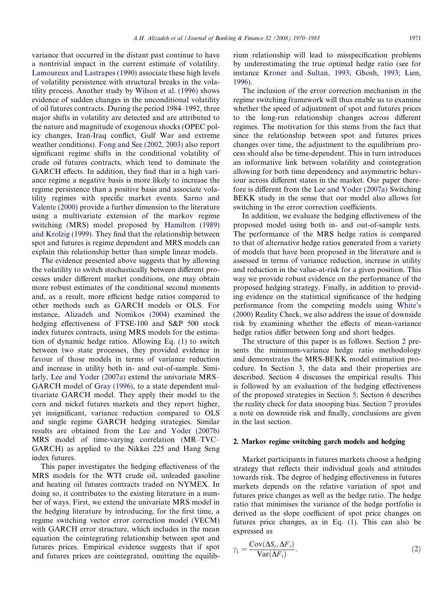variance that occurred in the distant past continue to have a nontrivial impact in the current estimate of volatility. [Lamoureux and Lastrapes \(1990\)](#page--1-0) associate these high levels of volatility persistence with structural breaks in the volatility process. Another study by [Wilson et al. \(1996\)](#page--1-0) shows evidence of sudden changes in the unconditional volatility of oil futures contracts. During the period 1984–1992, three major shifts in volatility are detected and are attributed to the nature and magnitude of exogenous shocks (OPEC policy changes, Iran-Iraq conflict, Gulf War and extreme weather conditions). [Fong and See \(2002, 2003\)](#page--1-0) also report significant regime shifts in the conditional volatility of crude oil futures contracts, which tend to dominate the GARCH effects. In addition, they find that in a high variance regime a negative basis is more likely to increase the regime persistence than a positive basis and associate volatility regimes with specific market events. [Sarno and](#page--1-0) [Valente \(2000\)](#page--1-0) provide a further dimension to the literature using a multivariate extension of the markov regime

switching (MRS) model proposed by [Hamilton \(1989\)](#page--1-0) [and Krolzig \(1999\)](#page--1-0). They find that the relationship between spot and futures is regime dependent and MRS models can explain this relationship better than simple linear models. The evidence presented above suggests that by allowing the volatility to switch stochastically between different pro-

cesses under different market conditions, one may obtain more robust estimates of the conditional second moments and, as a result, more efficient hedge ratios compared to other methods such as GARCH models or OLS. For instance, [Alizadeh and Nomikos \(2004\)](#page--1-0) examined the hedging effectiveness of FTSE-100 and S&P 500 stock index futures contracts, using MRS models for the estimation of dynamic hedge ratios. Allowing Eq. [\(1\)](#page-0-0) to switch between two state processes, they provided evidence in favour of those models in terms of variance reduction and increase in utility both in- and out-of-sample. Similarly, [Lee and Yoder \(2007a\)](#page--1-0) extend the univariate MRS– GARCH model of [Gray \(1996\),](#page--1-0) to a state dependent multivariate GARCH model. They apply their model to the corn and nickel futures markets and they report higher, yet insignificant, variance reduction compared to OLS and single regime GARCH hedging strategies. Similar results are obtained from the [Lee and Yoder \(2007b\)](#page--1-0) MRS model of time-varying correlation (MR–TVC– GARCH) as applied to the Nikkei 225 and Hang Seng index futures.

This paper investigates the hedging effectiveness of the MRS models for the WTI crude oil, unleaded gasoline and heating oil futures contracts traded on NYMEX. In doing so, it contributes to the existing literature in a number of ways. First, we extend the univariate MRS model in the hedging literature by introducing, for the first time, a regime switching vector error correction model (VECM) with GARCH error structure, which includes in the mean equation the cointegrating relationship between spot and futures prices. Empirical evidence suggests that if spot and futures prices are cointegrated, omitting the equilibrium relationship will lead to misspecification problems by underestimating the true optimal hedge ratio (see for instance [Kroner and Sultan, 1993; Ghosh, 1993; Lien,](#page--1-0) [1996](#page--1-0)).

The inclusion of the error correction mechanism in the regime switching framework will thus enable us to examine whether the speed of adjustment of spot and futures prices to the long-run relationship changes across different regimes. The motivation for this stems from the fact that since the relationship between spot and futures prices changes over time, the adjustment to the equilibrium process should also be time-dependent. This in turn introduces an informative link between volatility and cointegration allowing for both time dependency and asymmetric behaviour across different states in the market. Our paper therefore is different from the [Lee and Yoder \(2007a\)](#page--1-0) Switching BEKK study in the sense that our model also allows for switching in the error correction coefficients.

In addition, we evaluate the hedging effectiveness of the proposed model using both in- and out-of-sample tests. The performance of the MRS hedge ratios is compared to that of alternative hedge ratios generated from a variety of models that have been proposed in the literature and is assessed in terms of variance reduction, increase in utility and reduction in the value-at-risk for a given position. This way we provide robust evidence on the performance of the proposed hedging strategy. Finally, in addition to providing evidence on the statistical significance of the hedging performance from the competing models using [White's](#page--1-0) [\(2000\)](#page--1-0) Reality Check, we also address the issue of downside risk by examining whether the effects of mean-variance hedge ratios differ between long and short hedges.

The structure of this paper is as follows. Section 2 presents the minimum-variance hedge ratio methodology and demonstrates the MRS-BEKK model estimation procedure. In Section [3,](#page--1-0) the data and their properties are described. Section [4](#page--1-0) discusses the empirical results. This is followed by an evaluation of the hedging effectiveness of the proposed strategies in Section [5;](#page--1-0) Section [6](#page--1-0) describes the reality check for data snooping bias. Section [7](#page--1-0) provides a note on downside risk and finally, conclusions are given in the last section.

#### 2. Markov regime switching garch models and hedging

Market participants in futures markets choose a hedging strategy that reflects their individual goals and attitudes towards risk. The degree of hedging effectiveness in futures markets depends on the relative variation of spot and futures price changes as well as the hedge ratio. The hedge ratio that minimises the variance of the hedge portfolio is derived as the slope coefficient of spot price changes on futures price changes, as in Eq. [\(1\)](#page-0-0). This can also be expressed as

$$
\gamma_1 = \frac{\text{Cov}(\Delta S_t, \Delta F_t)}{\text{Var}(\Delta F_t)}.
$$
\n(2)